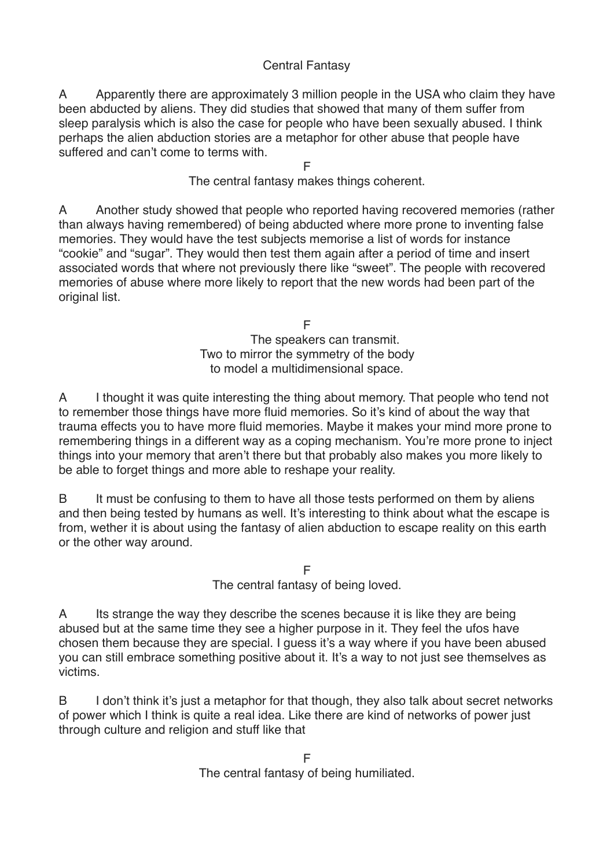## Central Fantasy

A Apparently there are approximately 3 million people in the USA who claim they have been abducted by aliens. They did studies that showed that many of them suffer from sleep paralysis which is also the case for people who have been sexually abused. I think perhaps the alien abduction stories are a metaphor for other abuse that people have suffered and can't come to terms with.

F

The central fantasy makes things coherent.

A Another study showed that people who reported having recovered memories (rather than always having remembered) of being abducted where more prone to inventing false memories. They would have the test subjects memorise a list of words for instance "cookie" and "sugar". They would then test them again after a period of time and insert associated words that where not previously there like "sweet". The people with recovered memories of abuse where more likely to report that the new words had been part of the original list.

> F The speakers can transmit. Two to mirror the symmetry of the body to model a multidimensional space.

A I thought it was quite interesting the thing about memory. That people who tend not to remember those things have more fluid memories. So it's kind of about the way that trauma effects you to have more fluid memories. Maybe it makes your mind more prone to remembering things in a different way as a coping mechanism. You're more prone to inject things into your memory that aren't there but that probably also makes you more likely to be able to forget things and more able to reshape your reality.

B It must be confusing to them to have all those tests performed on them by aliens and then being tested by humans as well. It's interesting to think about what the escape is from, wether it is about using the fantasy of alien abduction to escape reality on this earth or the other way around.

> F The central fantasy of being loved.

A Its strange the way they describe the scenes because it is like they are being abused but at the same time they see a higher purpose in it. They feel the ufos have chosen them because they are special. I guess it's a way where if you have been abused you can still embrace something positive about it. It's a way to not just see themselves as victims.

B I don't think it's just a metaphor for that though, they also talk about secret networks of power which I think is quite a real idea. Like there are kind of networks of power just through culture and religion and stuff like that

> F The central fantasy of being humiliated.